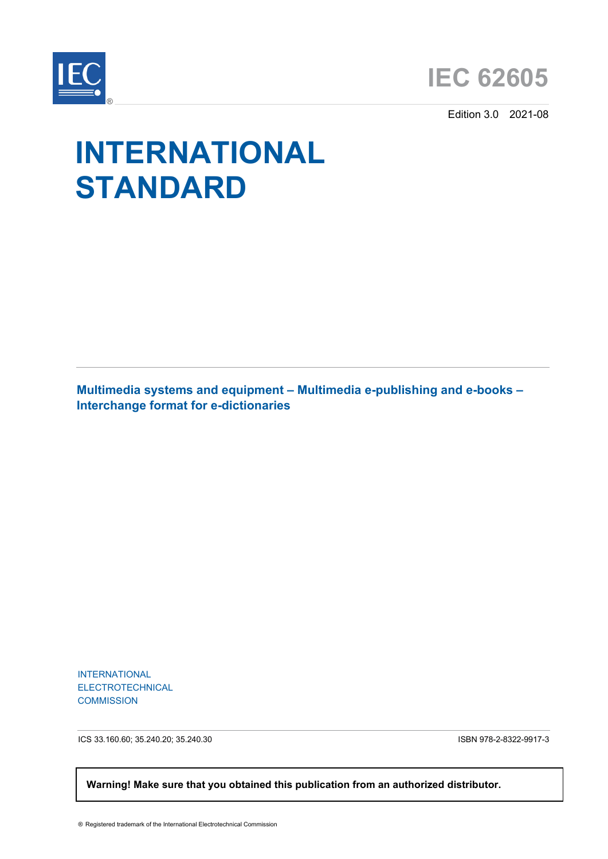



Edition 3.0 2021-08

# **INTERNATIONAL STANDARD**

**Multimedia systems and equipment – Multimedia e-publishing and e-books – Interchange format for e-dictionaries**

INTERNATIONAL ELECTROTECHNICAL **COMMISSION** 

ICS 33.160.60; 35.240.20; 35.240.30 ISBN 978-2-8322-9917-3

 **Warning! Make sure that you obtained this publication from an authorized distributor.**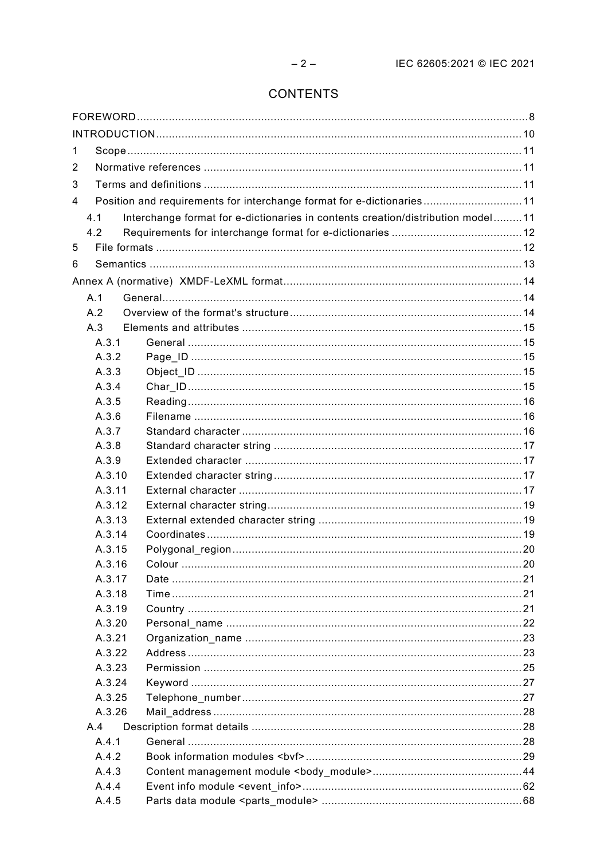# CONTENTS

| 1          |        |                                                                                 |  |
|------------|--------|---------------------------------------------------------------------------------|--|
| 2          |        |                                                                                 |  |
| 3          |        |                                                                                 |  |
| 4          |        | Position and requirements for interchange format for e-dictionaries11           |  |
| 4.1        |        | Interchange format for e-dictionaries in contents creation/distribution model11 |  |
| 4.2        |        |                                                                                 |  |
| 5          |        |                                                                                 |  |
| 6          |        |                                                                                 |  |
|            |        |                                                                                 |  |
|            |        |                                                                                 |  |
| A.1<br>A.2 |        |                                                                                 |  |
| A.3        |        |                                                                                 |  |
|            | A.3.1  |                                                                                 |  |
|            | A.3.2  |                                                                                 |  |
|            | A.3.3  |                                                                                 |  |
|            | A.3.4  |                                                                                 |  |
|            | A.3.5  |                                                                                 |  |
|            | A.3.6  |                                                                                 |  |
|            | A.3.7  |                                                                                 |  |
|            | A.3.8  |                                                                                 |  |
|            | A.3.9  |                                                                                 |  |
|            | A.3.10 |                                                                                 |  |
|            | A.3.11 |                                                                                 |  |
|            | A.3.12 |                                                                                 |  |
|            | A.3.13 |                                                                                 |  |
|            | A.3.14 |                                                                                 |  |
|            | A.3.15 |                                                                                 |  |
|            | A.3.16 |                                                                                 |  |
|            | A.3.17 |                                                                                 |  |
|            | A.3.18 |                                                                                 |  |
|            | A.3.19 |                                                                                 |  |
|            | A.3.20 |                                                                                 |  |
|            | A.3.21 |                                                                                 |  |
|            | A.3.22 |                                                                                 |  |
|            | A.3.23 |                                                                                 |  |
|            | A.3.24 |                                                                                 |  |
|            | A.3.25 |                                                                                 |  |
|            | A.3.26 |                                                                                 |  |
| A.4        |        |                                                                                 |  |
|            | A.4.1  |                                                                                 |  |
|            | A.4.2  |                                                                                 |  |
|            | A.4.3  |                                                                                 |  |
|            | A.4.4  |                                                                                 |  |
|            | A.4.5  |                                                                                 |  |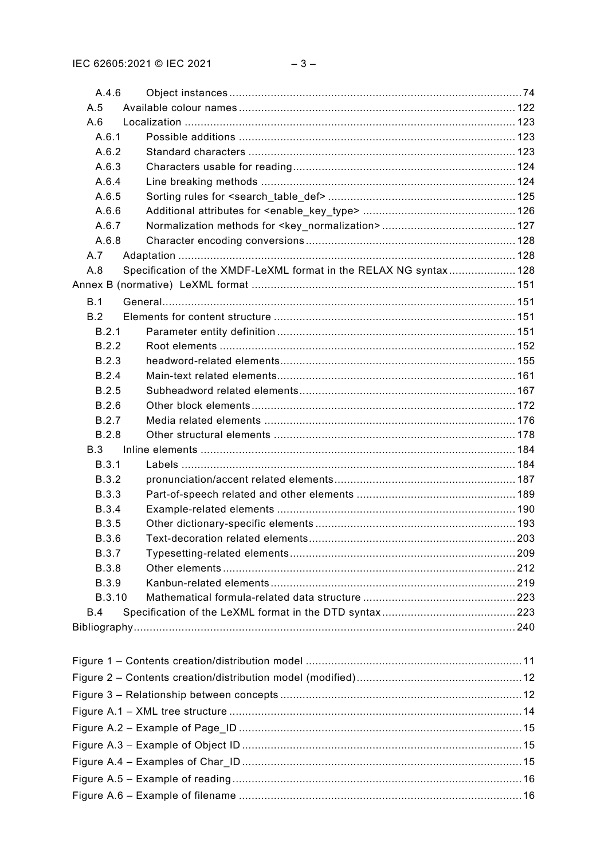| A.4.6         |                                                                   |  |  |
|---------------|-------------------------------------------------------------------|--|--|
| A.5           |                                                                   |  |  |
| A.6           |                                                                   |  |  |
| A.6.1         |                                                                   |  |  |
| A.6.2         |                                                                   |  |  |
| A.6.3         |                                                                   |  |  |
| A.6.4         |                                                                   |  |  |
| A.6.5         |                                                                   |  |  |
| A.6.6         |                                                                   |  |  |
| A.6.7         |                                                                   |  |  |
| A.6.8         |                                                                   |  |  |
| A.7           |                                                                   |  |  |
| A.8           | Specification of the XMDF-LeXML format in the RELAX NG syntax 128 |  |  |
|               |                                                                   |  |  |
| B.1           |                                                                   |  |  |
| B.2           |                                                                   |  |  |
| B.2.1         |                                                                   |  |  |
| B.2.2         |                                                                   |  |  |
| B.2.3         |                                                                   |  |  |
| B.2.4         |                                                                   |  |  |
| B.2.5         |                                                                   |  |  |
| B.2.6         |                                                                   |  |  |
| B.2.7         |                                                                   |  |  |
| <b>B.2.8</b>  |                                                                   |  |  |
| B.3           |                                                                   |  |  |
| B.3.1         |                                                                   |  |  |
| <b>B.3.2</b>  |                                                                   |  |  |
| <b>B.3.3</b>  |                                                                   |  |  |
| <b>B.3.4</b>  |                                                                   |  |  |
| <b>B.3.5</b>  |                                                                   |  |  |
| <b>B.3.6</b>  |                                                                   |  |  |
| <b>B.3.7</b>  |                                                                   |  |  |
| <b>B.3.8</b>  |                                                                   |  |  |
| <b>B.3.9</b>  |                                                                   |  |  |
| <b>B.3.10</b> |                                                                   |  |  |
| B.4           |                                                                   |  |  |
|               |                                                                   |  |  |
|               |                                                                   |  |  |
|               |                                                                   |  |  |
|               |                                                                   |  |  |
|               |                                                                   |  |  |
|               |                                                                   |  |  |
|               |                                                                   |  |  |
|               |                                                                   |  |  |
|               |                                                                   |  |  |
|               |                                                                   |  |  |
|               |                                                                   |  |  |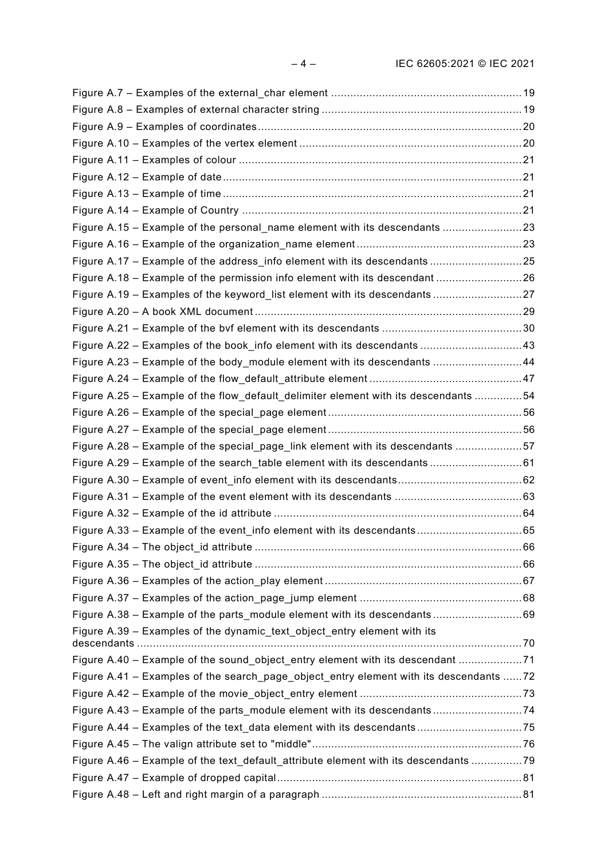| Figure A.15 - Example of the personal_name element with its descendants 23             |  |
|----------------------------------------------------------------------------------------|--|
|                                                                                        |  |
| Figure A.17 - Example of the address_info element with its descendants25               |  |
| Figure A.18 - Example of the permission info element with its descendant 26            |  |
| Figure A.19 – Examples of the keyword list element with its descendants27              |  |
|                                                                                        |  |
|                                                                                        |  |
| Figure A.22 - Examples of the book_info element with its descendants 43                |  |
| Figure A.23 - Example of the body_module element with its descendants 44               |  |
|                                                                                        |  |
| Figure A.25 - Example of the flow_default_delimiter element with its descendants 54    |  |
|                                                                                        |  |
|                                                                                        |  |
| Figure A.28 - Example of the special_page_link element with its descendants 57         |  |
| Figure A.29 - Example of the search_table element with its descendants61               |  |
|                                                                                        |  |
|                                                                                        |  |
|                                                                                        |  |
|                                                                                        |  |
|                                                                                        |  |
|                                                                                        |  |
|                                                                                        |  |
|                                                                                        |  |
| Figure A.38 – Example of the parts module element with its descendants 69              |  |
| Figure A.39 - Examples of the dynamic text object entry element with its               |  |
|                                                                                        |  |
| Figure A.40 – Example of the sound object entry element with its descendant 71         |  |
| Figure A.41 - Examples of the search_page_object_entry element with its descendants 72 |  |
|                                                                                        |  |
| Figure A.43 - Example of the parts_module element with its descendants74               |  |
|                                                                                        |  |
|                                                                                        |  |
| Figure A.46 - Example of the text_default_attribute element with its descendants 79    |  |
|                                                                                        |  |
|                                                                                        |  |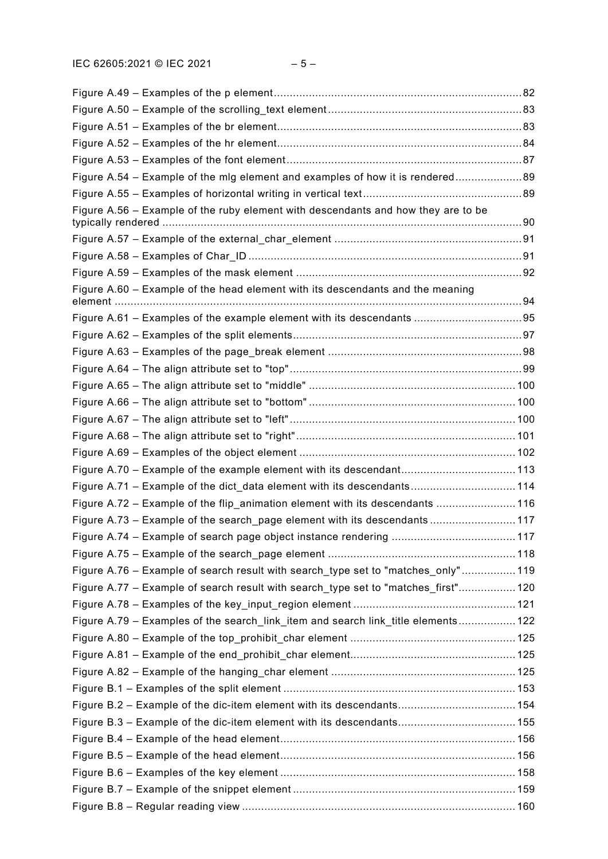| Figure A.54 – Example of the mlg element and examples of how it is rendered89      |  |
|------------------------------------------------------------------------------------|--|
|                                                                                    |  |
| Figure A.56 – Example of the ruby element with descendants and how they are to be  |  |
|                                                                                    |  |
|                                                                                    |  |
|                                                                                    |  |
| Figure A.60 - Example of the head element with its descendants and the meaning     |  |
|                                                                                    |  |
|                                                                                    |  |
|                                                                                    |  |
|                                                                                    |  |
|                                                                                    |  |
|                                                                                    |  |
|                                                                                    |  |
|                                                                                    |  |
|                                                                                    |  |
|                                                                                    |  |
| Figure A.71 - Example of the dict_data element with its descendants 114            |  |
| Figure A.72 - Example of the flip_animation element with its descendants  116      |  |
| Figure A.73 – Example of the search page element with its descendants117           |  |
|                                                                                    |  |
|                                                                                    |  |
| Figure A.76 - Example of search result with search_type set to "matches_only" 119  |  |
| Figure A.77 – Example of search result with search type set to "matches first" 120 |  |
|                                                                                    |  |
| Figure A.79 - Examples of the search_link_item and search link_title elements 122  |  |
|                                                                                    |  |
|                                                                                    |  |
|                                                                                    |  |
|                                                                                    |  |
| Figure B.2 - Example of the dic-item element with its descendants 154              |  |
| Figure B.3 - Example of the dic-item element with its descendants 155              |  |
|                                                                                    |  |
|                                                                                    |  |
|                                                                                    |  |
|                                                                                    |  |
|                                                                                    |  |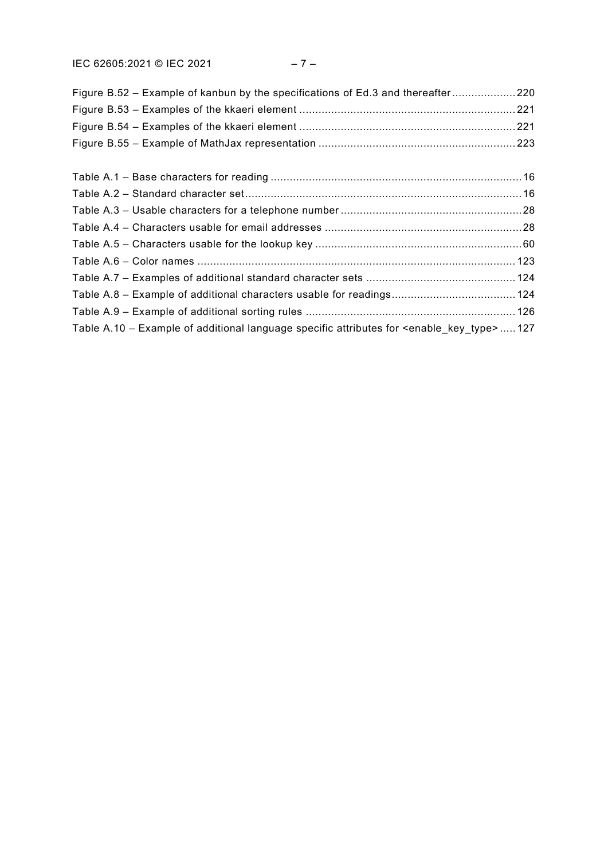IEC 62605:2021 © IEC 2021 – 7 –

| Figure B.52 – Example of kanbun by the specifications of Ed.3 and thereafter220                           |  |
|-----------------------------------------------------------------------------------------------------------|--|
|                                                                                                           |  |
|                                                                                                           |  |
|                                                                                                           |  |
|                                                                                                           |  |
|                                                                                                           |  |
|                                                                                                           |  |
|                                                                                                           |  |
|                                                                                                           |  |
|                                                                                                           |  |
|                                                                                                           |  |
|                                                                                                           |  |
|                                                                                                           |  |
| Table A.10 – Example of additional language specific attributes for <enable key="" type="">  127</enable> |  |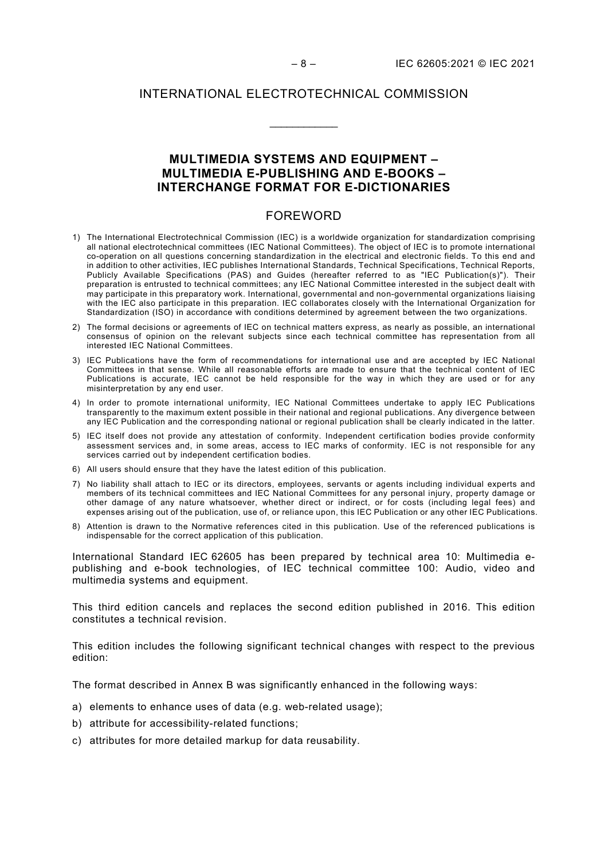#### INTERNATIONAL ELECTROTECHNICAL COMMISSION

\_\_\_\_\_\_\_\_\_\_\_\_

## **MULTIMEDIA SYSTEMS AND EQUIPMENT – MULTIMEDIA E-PUBLISHING AND E-BOOKS – INTERCHANGE FORMAT FOR E-DICTIONARIES**

#### FOREWORD

- <span id="page-7-0"></span>1) The International Electrotechnical Commission (IEC) is a worldwide organization for standardization comprising all national electrotechnical committees (IEC National Committees). The object of IEC is to promote international co-operation on all questions concerning standardization in the electrical and electronic fields. To this end and in addition to other activities, IEC publishes International Standards, Technical Specifications, Technical Reports, Publicly Available Specifications (PAS) and Guides (hereafter referred to as "IEC Publication(s)"). Their preparation is entrusted to technical committees; any IEC National Committee interested in the subject dealt with may participate in this preparatory work. International, governmental and non-governmental organizations liaising with the IEC also participate in this preparation. IEC collaborates closely with the International Organization for Standardization (ISO) in accordance with conditions determined by agreement between the two organizations.
- 2) The formal decisions or agreements of IEC on technical matters express, as nearly as possible, an international consensus of opinion on the relevant subjects since each technical committee has representation from all interested IEC National Committees.
- 3) IEC Publications have the form of recommendations for international use and are accepted by IEC National Committees in that sense. While all reasonable efforts are made to ensure that the technical content of IEC Publications is accurate, IEC cannot be held responsible for the way in which they are used or for any misinterpretation by any end user.
- 4) In order to promote international uniformity, IEC National Committees undertake to apply IEC Publications transparently to the maximum extent possible in their national and regional publications. Any divergence between any IEC Publication and the corresponding national or regional publication shall be clearly indicated in the latter.
- 5) IEC itself does not provide any attestation of conformity. Independent certification bodies provide conformity assessment services and, in some areas, access to IEC marks of conformity. IEC is not responsible for any services carried out by independent certification bodies.
- 6) All users should ensure that they have the latest edition of this publication.
- 7) No liability shall attach to IEC or its directors, employees, servants or agents including individual experts and members of its technical committees and IEC National Committees for any personal injury, property damage or other damage of any nature whatsoever, whether direct or indirect, or for costs (including legal fees) and expenses arising out of the publication, use of, or reliance upon, this IEC Publication or any other IEC Publications.
- 8) Attention is drawn to the Normative references cited in this publication. Use of the referenced publications is indispensable for the correct application of this publication.

International Standard IEC 62605 has been prepared by technical area 10: Multimedia epublishing and e-book technologies, of IEC technical committee 100: Audio, video and multimedia systems and equipment.

This third edition cancels and replaces the second edition published in 2016. This edition constitutes a technical revision.

This edition includes the following significant technical changes with respect to the previous edition:

The format described in Annex B was significantly enhanced in the following ways:

- a) elements to enhance uses of data (e.g. web-related usage);
- b) attribute for accessibility-related functions;
- c) attributes for more detailed markup for data reusability.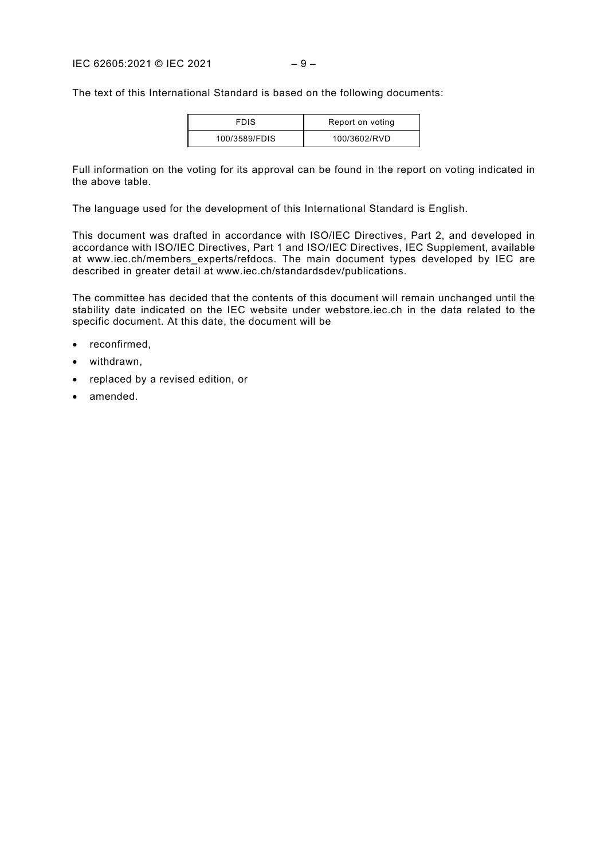The text of this International Standard is based on the following documents:

| <b>FDIS</b>   | Report on voting |
|---------------|------------------|
| 100/3589/FDIS | 100/3602/RVD     |

Full information on the voting for its approval can be found in the report on voting indicated in the above table.

The language used for the development of this International Standard is English.

This document was drafted in accordance with ISO/IEC Directives, Part 2, and developed in accordance with ISO/IEC Directives, Part 1 and ISO/IEC Directives, IEC Supplement, available at [www.iec.ch/members\\_experts/refdocs.](http://www.iec.ch/members_experts/refdocs) The main document types developed by IEC are described in greater detail at [www.iec.ch/standardsdev/publications.](http://www.iec.ch/standardsdev/publications)

The committee has decided that the contents of this document will remain unchanged until the stability date indicated on the IEC website under [webstore.iec.ch](https://webstore.iec.ch/?ref=menu) in the data related to the specific document. At this date, the document will be

- reconfirmed,
- withdrawn,
- replaced by a revised edition, or
- amended.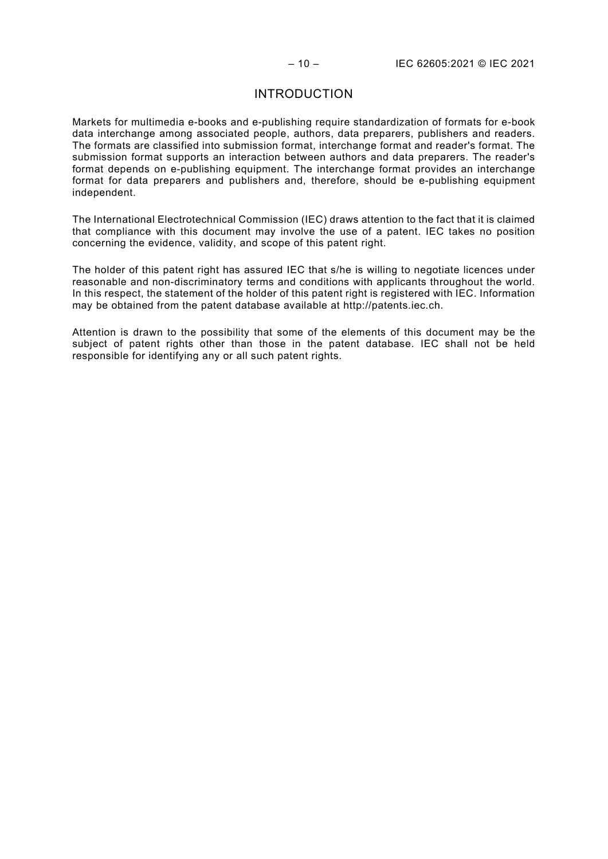#### INTRODUCTION

<span id="page-9-0"></span>Markets for multimedia e-books and e-publishing require standardization of formats for e-book data interchange among associated people, authors, data preparers, publishers and readers. The formats are classified into submission format, interchange format and reader's format. The submission format supports an interaction between authors and data preparers. The reader's format depends on e-publishing equipment. The interchange format provides an interchange format for data preparers and publishers and, therefore, should be e-publishing equipment independent.

The International Electrotechnical Commission (IEC) draws attention to the fact that it is claimed that compliance with this document may involve the use of a patent. IEC takes no position concerning the evidence, validity, and scope of this patent right.

The holder of this patent right has assured IEC that s/he is willing to negotiate licences under reasonable and non-discriminatory terms and conditions with applicants throughout the world. In this respect, the statement of the holder of this patent right is registered with IEC. Information may be obtained from the patent database available at http://patents.iec.ch.

Attention is drawn to the possibility that some of the elements of this document may be the subject of patent rights other than those in the patent database. IEC shall not be held responsible for identifying any or all such patent rights.